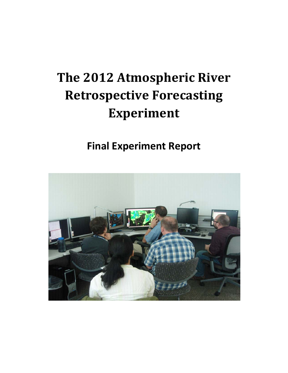# **The 2012 Atmospheric River Retrospective Forecasting Experiment**

## **Final Experiment Report**

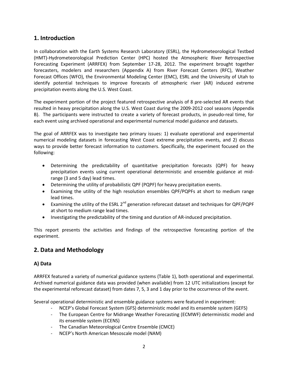## **1. Introduction**

In collaboration with the Earth Systems Research Laboratory (ESRL), the Hydrometeorological Testbed (HMT)-Hydrometeorological Prediction Center (HPC) hosted the Atmospheric River Retrospective Forecasting Experiment (ARRFEX) from September 17-28, 2012. The experiment brought together forecasters, modelers and researchers (Appendix A) from River Forecast Centers (RFC), Weather Forecast Offices (WFO), the Environmental Modeling Center (EMC), ESRL and the University of Utah to identify potential techniques to improve forecasts of atmospheric river (AR) induced extreme precipitation events along the U.S. West Coast.

The experiment portion of the project featured retrospective analysis of 8 pre-selected AR events that resulted in heavy precipitation along the U.S. West Coast during the 2009-2012 cool seasons (Appendix B). The participants were instructed to create a variety of forecast products, in pseudo-real time, for each event using archived operational and experimental numerical model guidance and datasets.

The goal of ARRFEX was to investigate two primary issues: 1) evaluate operational and experimental numerical modeling datasets in forecasting West Coast extreme precipitation events, and 2) discuss ways to provide better forecast information to customers. Specifically, the experiment focused on the following:

- Determining the predictability of quantitative precipitation forecasts (QPF) for heavy precipitation events using current operational deterministic and ensemble guidance at midrange (3 and 5 day) lead times.
- Determining the utility of probabilistic QPF (PQPF) for heavy precipitation events.
- Examining the utility of the high resolution ensembles QPF/PQPFs at short to medium range lead times.
- Examining the utility of the ESRL 2<sup>nd</sup> generation reforecast dataset and techniques for QPF/PQPF at short to medium range lead times.
- Investigating the predictability of the timing and duration of AR-induced precipitation.

This report presents the activities and findings of the retrospective forecasting portion of the experiment.

## **2. Data and Methodology**

## **A) Data**

ARRFEX featured a variety of numerical guidance systems (Table 1), both operational and experimental. Archived numerical guidance data was provided (when available) from 12 UTC initializations (except for the experimental reforecast dataset) from dates 7, 5, 3 and 1 day prior to the occurrence of the event.

Several operational deterministic and ensemble guidance systems were featured in experiment:

- NCEP's Global Forecast System (GFS) deterministic model and its ensemble system (GEFS)
- The European Centre for Midrange Weather Forecasting (ECMWF) deterministic model and its ensemble system (ECENS)
- The Canadian Meteorological Centre Ensemble (CMCE)
- NCEP's North American Mesoscale model (NAM)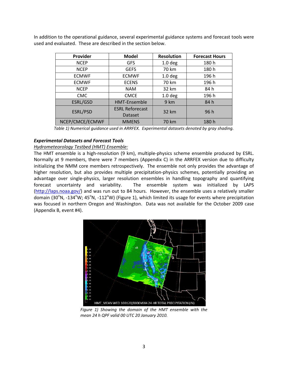In addition to the operational guidance, several experimental guidance systems and forecast tools were used and evaluated. These are described in the section below.

| Provider        | <b>Model</b>                      | <b>Resolution</b>  | <b>Forecast Hours</b> |
|-----------------|-----------------------------------|--------------------|-----------------------|
| <b>NCEP</b>     | <b>GFS</b>                        | 1.0 <sub>deg</sub> | 180 h                 |
| <b>NCEP</b>     | <b>GEFS</b>                       | 70 km              | 180 h                 |
| <b>ECMWF</b>    | <b>ECMWF</b>                      | 1.0 <sub>deg</sub> | 196 h                 |
| <b>ECMWF</b>    | <b>ECENS</b>                      | 70 km              | 196 h                 |
| <b>NCEP</b>     | <b>NAM</b>                        | 32 km              | 84 h                  |
| <b>CMC</b>      | <b>CMCE</b>                       | 1.0 <sub>deg</sub> | 196 h                 |
| ESRL/GSD        | <b>HMT-Ensemble</b>               | 9 km               | 84 h                  |
| ESRL/PSD        | <b>ESRL Reforecast</b><br>Dataset | 32 km              | 96 h                  |
| NCEP/CMCE/ECMWF | <b>MMENS</b>                      | 70 km              | 180 h                 |

*Table 1) Numerical guidance used in ARRFEX. Experimental datasets denoted by gray shading.*

#### *Experimental Datasets and Forecast Tools*

#### *Hydrometeorology Testbed (HMT) Ensemble:*

The HMT ensemble is a high-resolution (9 km), multiple-physics scheme ensemble produced by ESRL. Normally at 9 members, there were 7 members (Appendix C) in the ARRFEX version due to difficulty initializing the NMM core members retrospectively. The ensemble not only provides the advantage of higher resolution, but also provides multiple precipitation-physics schemes, potentially providing an advantage over single-physics, larger resolution ensembles in handling topography and quantifying forecast uncertainty and variability. The ensemble system was initialized by LAPS [\(http://laps.noaa.gov/\)](http://laps.noaa.gov/) and was run out to 84 hours. However, the ensemble uses a relatively smaller domain (30°N, -134°W; 45°N, -112°W) (Figure 1), which limited its usage for events where precipitation was focused in northern Oregon and Washington. Data was not available for the October 2009 case (Appendix B, event #4).



*Figure 1) Showing the domain of the HMT ensemble with the mean 24 h QPF valid 00 UTC 20 January 2010.*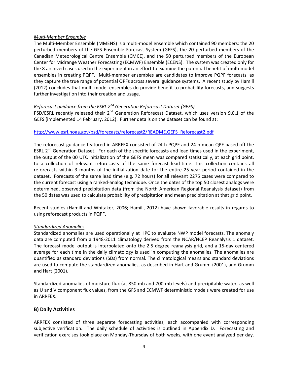## *Multi-Member Ensemble*

The Multi-Member Ensemble (MMENS) is a multi-model ensemble which contained 90 members: the 20 perturbed members of the GFS Ensemble Forecast System (GEFS), the 20 perturbed members of the Canadian Meteorological Centre Ensemble (CMCE), and the 50 perturbed members of the European Center for Midrange Weather Forecasting (ECMWF) Ensemble (ECENS). The system was created only for the 8 archived cases used in the experiment in an effort to examine the potential benefit of multi-model ensembles in creating PQPF. Multi-member ensembles are candidates to improve PQPF forecasts, as they capture the true range of potential QPFs across several guidance systems. A recent study by Hamill (2012) concludes that multi-model ensembles do provide benefit to probability forecasts, and suggests further investigation into their creation and usage.

## *Reforecast guidance from the ESRL 2nd Generation Reforecast Dataset (GEFS)*

PSD/ESRL recently released their 2<sup>nd</sup> Generation Reforecast Dataset, which uses version 9.0.1 of the GEFS (implemented 14 February, 2012). Further details on the dataset can be found at:

## [http://www.esrl.noaa.gov/psd/forecasts/reforecast2/README.GEFS\\_Reforecast2.pdf](http://www.esrl.noaa.gov/psd/forecasts/reforecast2/README.GEFS_Reforecast2.pdf)

The reforecast guidance featured in ARRFEX consisted of 24 h PQPF and 24 h mean QPF based off the ESRL 2<sup>nd</sup> Generation Dataset. For each of the specific forecasts and lead times used in the experiment, the output of the 00 UTC initialization of the GEFS mean was compared statistically, at each grid point, to a collection of relevant reforecasts of the same forecast lead-time. This collection contains all reforecasts within 3 months of the initialization date for the entire 25 year period contained in the dataset. Forecasts of the same lead time (e.g. 72 hours) for all relevant 2275 cases were compared to the current forecast using a ranked-analog technique. Once the dates of the top 50 closest analogs were determined, observed precipitation data (from the North American Regional Reanalysis dataset) from the 50 dates was used to calculate probability of precipitation and mean precipitation at that grid point.

Recent studies (Hamill and Whitaker, 2006; Hamill, 2012) have shown favorable results in regards to using reforecast products in PQPF.

## *Standardized Anomalies*

Standardized anomalies are used operationally at HPC to evaluate NWP model forecasts. The anomaly data are computed from a 1948-2011 climatology derived from the NCAR/NCEP Reanalysis 1 dataset. The forecast model output is interpolated onto the 2.5 degree reanalysis grid, and a 15-day centered average for each time in the daily climatology is used in computing the anomalies. The anomalies are quantified as standard deviations (SDs) from normal. The climatological means and standard deviations are used to compute the standardized anomalies, as described in Hart and Grumm (2001), and Grumm and Hart (2001).

Standardized anomalies of moisture flux (at 850 mb and 700 mb levels) and precipitable water, as well as U and V component flux values, from the GFS and ECMWF deterministic models were created for use in ARRFEX.

## **B) Daily Activities**

ARRFEX consisted of three separate forecasting activities, each accompanied with corresponding subjective verification. The daily schedule of activities is outlined in Appendix D. Forecasting and verification exercises took place on Monday-Thursday of both weeks, with one event analyzed per day.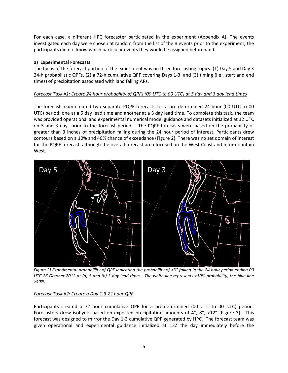For each case, a different HPC forecaster participated in the experiment (Appendix A). The events investigated each day were chosen at random from the list of the 8 events prior to the experiment; the participants did not know which particular events they would be assigned beforehand.

## **a) Experimental Forecasts**

The focus of the forecast portion of the experiment was on three forecasting topics: (1) Day 5 and Day 3 24-h probabilistic QPFs, (2) a 72-h cumulative QPF covering Days 1-3, and (3) timing (i.e., start and end times) of precipitation associated with land falling ARs.

## *Forecast Task #1: Create 24 hour probability of QPFs (00 UTC to 00 UTC) at 5 day and 3 day lead times*

The forecast team created two separate PQPF forecasts for a pre-determined 24 hour (00 UTC to 00 UTC) period; one at a 5 day lead time and another at a 3 day lead time. To complete this task, the team was provided operational and experimental numerical model guidance and datasets initialized at 12 UTC on 5 and 3 days prior to the forecast period. The PQPF forecasts were based on the probability of greater than 3 inches of precipitation falling during the 24 hour period of interest. Participants drew contours based on a 10% and 40% chance of exceedance (Figure 2). There was no set domain of interest for the PQPF forecast, although the overall forecast area focused on the West Coast and Intermountain West.



*Figure 2) Experimental probabililty of QPF indicating the probability of >3" falling in the 24 hour period ending 00 UTC 26 October 2012 at (a) 5 and (b) 3 day lead times. The white line represents >10% probability, the blue line >40%.*

## *Forecast Task #2: Create a Day 1-3 72 hour QPF*

Participants created a 72 hour cumulative QPF for a pre-determined (00 UTC to 00 UTC) period. Forecasters drew isohyets based on expected precipitation amounts of 4", 8", >12" (Figure 3). This forecast was designed to mirror the Day 1-3 cumulative QPF generated by HPC. The forecast team was given operational and experimental guidance initialized at 12Z the day immediately before the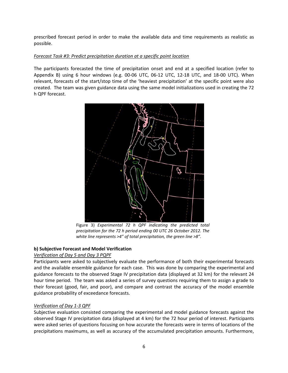prescribed forecast period in order to make the available data and time requirements as realistic as possible.

## *Forecast Task #3: Predict precipitation duration at a specific point location*

The participants forecasted the time of precipitation onset and end at a specified location (refer to Appendix B) using 6 hour windows (e.g. 00-06 UTC, 06-12 UTC, 12-18 UTC, and 18-00 UTC). When relevant, forecasts of the start/stop time of the 'heaviest precipitation' at the specific point were also created. The team was given guidance data using the same model initializations used in creating the 72 h QPF forecast.



Figure 3) *Experimental 72 h QPF indicating the predicted total precipitation for the 72 h period ending 00 UTC 26 October 2012. The white line represents >4" of total precipitation, the green line >8".*

## **b) Subjective Forecast and Model Verification**

## *Verification of Day 5 and Day 3 PQPF*

Participants were asked to subjectively evaluate the performance of both their experimental forecasts and the available ensemble guidance for each case. This was done by comparing the experimental and guidance forecasts to the observed Stage IV precipitation data (displayed at 32 km) for the relevant 24 hour time period. The team was asked a series of survey questions requiring them to assign a grade to their forecast (good, fair, and poor), and compare and contrast the accuracy of the model ensemble guidance probability of exceedance forecasts.

## *Verification of Day 1-3 QPF*

Subjective evaluation consisted comparing the experimental and model guidance forecasts against the observed Stage IV precipitation data (displayed at 4 km) for the 72 hour period of interest. Participants were asked series of questions focusing on how accurate the forecasts were in terms of locations of the precipitations maximums, as well as accuracy of the accumulated precipitation amounts. Furthermore,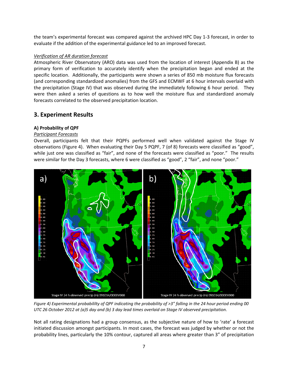the team's experimental forecast was compared against the archived HPC Day 1-3 forecast, in order to evaluate if the addition of the experimental guidance led to an improved forecast.

## *Verification of AR duration forecast*

Atmospheric River Observatory (ARO) data was used from the location of interest (Appendix B) as the primary form of verification to accurately identify when the precipitation began and ended at the specific location. Additionally, the participants were shown a series of 850 mb moisture flux forecasts (and corresponding standardized anomalies) from the GFS and ECMWF at 6 hour intervals overlaid with the precipitation (Stage IV) that was observed during the immediately following 6 hour period. They were then asked a series of questions as to how well the moisture flux and standardized anomaly forecasts correlated to the observed precipitation location.

## **3. Experiment Results**

## **A) Probability of QPF**

## *Participant Forecasts*

Overall, participants felt that their PQPFs performed well when validated against the Stage IV observations (Figure 4). When evaluating their Day 5 PQPF, 7 (of 8) forecasts were classified as "good", while just one was classified as "fair", and none of the forecasts were classified as "poor." The results were similar for the Day 3 forecasts, where 6 were classified as "good", 2 "fair", and none "poor."



*Figure 4) Experimental probabililty of QPF indicating the probability of >3" falling in the 24 hour period ending 00 UTC 26 October 2012 at (a)5 day and (b) 3 day lead times overlaid on Stage IV observed precipitation.*

Not all rating designations had a group consensus, as the subjective nature of how to 'rate' a forecast initiated discussion amongst participants. In most cases, the forecast was judged by whether or not the probability lines, particularly the 10% contour, captured all areas where greater than 3" of precipitation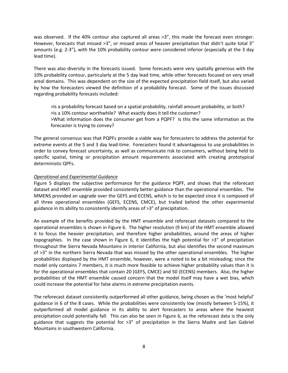was observed. If the 40% contour also captured all areas >3", this made the forecast even stronger. However, forecasts that missed >3", or missed areas of heavier precipitation that didn't quite total 3" amounts (e.g. 2-3"), with the 10% probability contour were considered inferior (especially at the 3 day lead time).

There was also diversity in the forecasts issued. Some forecasts were very spatially generous with the 10% probability contour, particularly at the 5 day lead time, while other forecasts focused on very small areal domains. This was dependent on the size of the expected precipitation field itself, but also varied by how the forecasters viewed the definition of a probability forecast. Some of the issues discussed regarding probability forecasts included:

>Is a probability forecast based on a spatial probability, rainfall amount probability, or both? >Is a 10% contour worthwhile? What exactly does it tell the customer? >What information does the consumer get from a PQPF? Is this the same information as the forecaster is trying to convey?

The general consensus was that PQPFs provide a viable way for forecasters to address the potential for extreme events at the 5 and 3 day lead-time. Forecasters found it advantageous to use probabilities in order to convey forecast uncertainty, as well as communicate risk to consumers, without being held to specific spatial, timing or precipitation amount requirements associated with creating prototypical deterministic QPFs.

## *Operational and Experimental Guidance*

Figure 5 displays the subjective performance for the guidance PQPF, and shows that the reforecast dataset and HMT ensemble provided consistently better guidance than the operational ensembles. The MMENS provided an upgrade over the GEFS and ECENS, which is to be expected since it is composed of all three operational ensembles (GEFS, ECENS, CMCE), but trailed behind the other experimental guidance in its ability to consistently identify areas of >3" of precipitation.

An example of the benefits provided by the HMT ensemble and reforecast datasets compared to the operational ensembles is shown in Figure 6. The higher resolution (9 km) of the HMT ensemble allowed it to focus the heavier precipitation, and therefore higher probabilities, around the areas of higher topographies. In the case shown in Figure 6, it identifies the high potential for  $>3$ " of precipitation throughout the Sierra Nevada Mountains in interior California, but also identifies the second maximum of >3" in the northern Sierra Nevada that was missed by the other operational ensembles. The higher probabilities displayed by the HMT ensemble, however, were a noted to be a bit misleading; since the model only contains 7 members, it is much more feasible to achieve higher probability values than it is for the operational ensembles that contain 20 (GEFS, CMCE) and 50 (ECENS) members. Also, the higher probabilities of the HMT ensemble caused concern that the model itself may have a wet bias, which could increase the potential for false alarms in extreme precipitation events.

The reforecast dataset consistently outperformed all other guidance, being chosen as the 'most helpful' guidance in 6 of the 8 cases. While the probabilities were consistently low (mostly between 5-15%), it outperformed all model guidance in its ability to alert forecasters to areas where the heaviest precipitation could potentially fall. This can also be seen in Figure 6, as the reforecast data is the only guidance that suggests the potential for >3" of precipitation in the Sierra Madre and San Gabriel Mountains in southwestern California.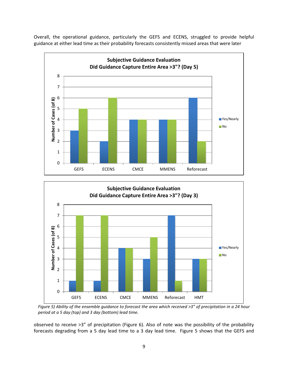Overall, the operational guidance, particularly the GEFS and ECENS, struggled to provide helpful guidance at either lead time as their probability forecasts consistently missed areas that were later





*Figure 5) Ability of the ensemble guidance to forecast the area which received >3" of precipitation in a 24 hour period at a 5 day (top) and 3 day (bottom) lead time.* 

observed to receive >3" of precipitation (Figure 6). Also of note was the possibility of the probability forecasts degrading from a 5 day lead time to a 3 day lead time. Figure 5 shows that the GEFS and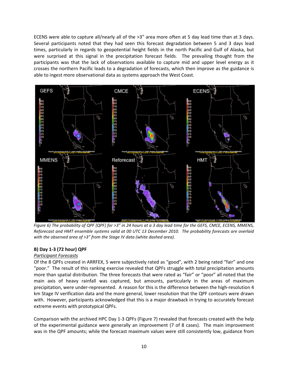ECENS were able to capture all/nearly all of the >3" area more often at 5 day lead time than at 3 days. Several participants noted that they had seen this forecast degradation between 5 and 3 days lead times, particularly in regards to geopotential height fields in the north Pacific and Gulf of Alaska, but were surprised at this signal in the precipitation forecast fields. The prevailing thought from the participants was that the lack of observations available to capture mid and upper level energy as it crosses the northern Pacific leads to a degradation of forecasts, which then improve as the guidance is able to ingest more observational data as systems approach the West Coast.



*Figure 6) The probability of QPF (QPF) for >3" in 24 hours at a 3 day lead time for the GEFS, CMCE, ECENS, MMENS, Reforecast and HMT ensemble systems valid at 00 UTC 13 December 2010. The probability forecasts are overlaid with the observed area of >3" from the Stage IV data (white dashed area).* 

## **B) Day 1-3 (72 hour) QPF**

## *Participant Forecasts*

Of the 8 QPFs created in ARRFEX, 5 were subjectively rated as "good", with 2 being rated "fair" and one "poor." The result of this ranking exercise revealed that QPFs struggle with total precipitation amounts more than spatial distribution. The three forecasts that were rated as "fair" or "poor" all noted that the main axis of heavy rainfall was captured, but amounts, particularly in the areas of maximum precipitation, were under-represented. A reason for this is the difference between the high-resolution 4 km Stage IV verification data and the more general, lower resolution that the QPF contours were drawn with. However, participants acknowledged that this is a major drawback in trying to accurately forecast extreme events with prototypical QPFs.

Comparison with the archived HPC Day 1-3 QPFs (Figure 7) revealed that forecasts created with the help of the experimental guidance were generally an improvement (7 of 8 cases). The main improvement was in the QPF amounts; while the forecast maximum values were still consistently low, guidance from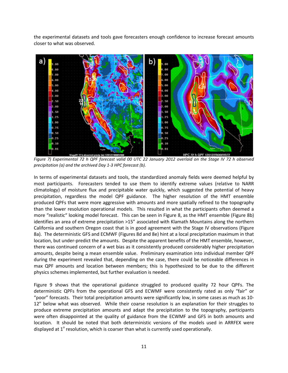the experimental datasets and tools gave forecasters enough confidence to increase forecast amounts closer to what was observed.



*Figure 7) Experimental 72 h QPF forecast valid 00 UTC 22 January 2012 overlaid on the Stage IV 72 h observed precipitation (a) and the archived Day 1-3 HPC forecast (b).*

In terms of experimental datasets and tools, the standardized anomaly fields were deemed helpful by most participants. Forecasters tended to use them to identify extreme values (relative to NARR climatology) of moisture flux and precipitable water quickly, which suggested the potential of heavy precipitation, regardless the model QPF guidance. The higher resolution of the HMT ensemble produced QPFs that were more aggressive with amounts and more spatially refined to the topography than the lower resolution operational models. This resulted in what the participants often deemed a more "realistic" looking model forecast. This can be seen in Figure 8, as the HMT ensemble (Figure 8b) identifies an area of extreme precipitation >15" associated with Klamath Mountains along the northern California and southern Oregon coast that is in good agreement with the Stage IV observations (Figure 8a). The deterministic GFS and ECMWF (Figures 8d and 8e) hint at a local precipitation maximum in that location, but under-predict the amounts. Despite the apparent benefits of the HMT ensemble, however, there was continued concern of a wet bias as it consistently produced considerably higher precipitation amounts, despite being a mean ensemble value. Preliminary examination into individual member QPF during the experiment revealed that, depending on the case, there could be noticeable differences in max QPF amounts and location between members; this is hypothesized to be due to the different physics schemes implemented, but further evaluation is needed.

Figure 9 shows that the operational guidance struggled to produced quality 72 hour QPFs. The deterministic QPFs from the operational GFS and ECWMF were consistently rated as only "fair" or "poor" forecasts. Their total precipitation amounts were significantly low, in some cases as much as 10- 12" below what was observed. While their coarse resolution is an explanation for their struggles to produce extreme precipitation amounts and adapt the precipitation to the topography, participants were often disappointed at the quality of guidance from the ECWMF and GFS in both amounts and location. It should be noted that both deterministic versions of the models used in ARRFEX were displayed at  $1^\circ$  resolution, which is coarser than what is currently used operationally.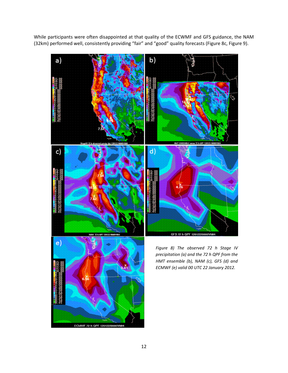While participants were often disappointed at that quality of the ECWMF and GFS guidance, the NAM (32km) performed well, consistently providing "fair" and "good" quality forecasts (Figure 8c, Figure 9).



ECMWF 72 h QPF 120122/0000V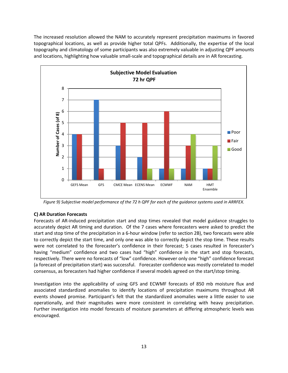The increased resolution allowed the NAM to accurately represent precipitation maximums in favored topographical locations, as well as provide higher total QPFs. Additionally, the expertise of the local topography and climatology of some participants was also extremely valuable in adjusting QPF amounts and locations, highlighting how valuable small-scale and topographical details are in AR forecasting.



*Figure 9) Subjective model performance of the 72 h QPF for each of the guidance systems used in ARRFEX.*

## **C) AR Duration Forecasts**

Forecasts of AR-induced precipitation start and stop times revealed that model guidance struggles to accurately depict AR timing and duration. Of the 7 cases where forecasters were asked to predict the start and stop time of the precipitation in a 6-hour window (refer to section 2B), two forecasts were able to correctly depict the start time, and only one was able to correctly depict the stop time. These results were not correlated to the forecaster's confidence in their forecast; 5 cases resulted in forecaster's having "medium" confidence and two cases had "high" confidence in the start and stop forecasts, respectively. There were no forecasts of "low" confidence. However only one "high" confidence forecast (a forecast of precipitation start) was successful. Forecaster confidence was mostly correlated to model consensus, as forecasters had higher confidence if several models agreed on the start/stop timing.

Investigation into the applicability of using GFS and ECWMF forecasts of 850 mb moisture flux and associated standardized anomalies to identify locations of precipitation maximums throughout AR events showed promise. Participant's felt that the standardized anomalies were a little easier to use operationally, and their magnitudes were more consistent in correlating with heavy precipitation. Further investigation into model forecasts of moisture parameters at differing atmospheric levels was encouraged.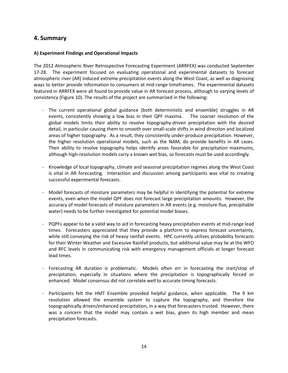## **4. Summary**

## **A) Experiment Findings and Operational Impacts**

The 2012 Atmospheric River Retrospective Forecasting Experiment (ARRFEX) was conducted September 17-28. The experiment focused on evaluating operational and experimental datasets to forecast atmospheric river (AR) induced extreme precipitation events along the West Coast, as well as diagnosing ways to better provide information to consumers at mid-range timeframes. The experimental datasets featured in ARRFEX were all found to provide value in AR forecast process, although to varying levels of consistency (Figure 10). The results of the project are summarized in the following:

- The current operational global guidance (both deterministic and ensemble) struggles in AR events, consistently showing a low bias in their QPF maxima. The coarser resolution of the global models limits their ability to resolve topography-driven precipitation with the desired detail, in particular causing them to smooth over small-scale shifts in wind direction and localized areas of higher topography. As a result, they consistently under-produce precipitation. However, the higher resolution operational models, such as the NAM, do provide benefits in AR cases. Their ability to resolve topography helps identify areas favorable for precipitation maximums, although high-resolution models carry a known wet bias, so forecasts must be used accordingly.
- Knowledge of local topography, climate and seasonal precipitation regimes along the West Coast is vital in AR forecasting. Interaction and discussion among participants was vital to creating successful experimental forecasts.
- Model forecasts of moisture parameters may be helpful in identifying the potential for extreme events, even when the model QPF does not forecast large precipitation amounts. However, the accuracy of model forecasts of moisture parameters in AR events (e.g. moisture flux, precipitable water) needs to be further investigated for potential model biases.
- PQPFs appear to be a valid way to aid in forecasting heavy precipitation events at mid-range lead times. Forecasters appreciated that they provide a platform to express forecast uncertainty, while still conveying the risk of heavy rainfall events. HPC currently utilizes probability forecasts for their Winter Weather and Excessive Rainfall products, but additional value may lie at the WFO and RFC levels in communicating risk with emergency management officials at longer forecast lead times.
- Forecasting AR duration is problematic. Models often err in forecasting the start/stop of precipitation, especially in situations where the precipitation is topographically forced or enhanced. Model consensus did not correlate well to accurate timing forecasts.
- Participants felt the HMT Ensemble provided helpful guidance, when applicable. The 9 km resolution allowed the ensemble system to capture the topography, and therefore the topographically driven/enhanced precipitation, in a way that forecasters trusted. However, there was a concern that the model may contain a wet bias, given its high member and mean precipitation forecasts.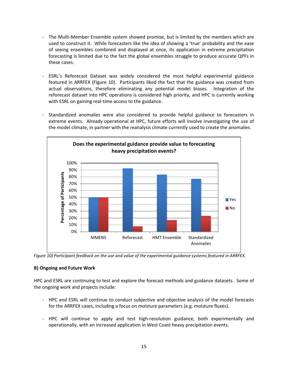- The Multi-Member Ensemble system showed promise, but is limited by the members which are used to construct it. While forecasters like the idea of showing a 'true' probability and the ease of seeing ensembles combined and displayed at once, its application in extreme precipitation forecasting is limited due to the fact the global ensembles struggle to produce accurate QPFs in these cases.
- ESRL's Reforecast Dataset was widely considered the most helpful experimental guidance featured in ARRFEX (Figure 10). Participants liked the fact that the guidance was created from actual observations, therefore eliminating any potential model biases. Integration of the reforecast dataset into HPC operations is considered high priority, and HPC is currently working with ESRL on gaining real-time access to the guidance.
- Standardized anomalies were also considered to provide helpful guidance to forecasters in extreme events. Already operational at HPC, future efforts will involve investigating the use of the model climate, in partner with the reanalysis climate currently used to create the anomalies.



*Figure 10) Participant feedback on the use and value of the experimental guidance systems featured in ARRFEX.*

## **B) Ongoing and Future Work**

HPC and ESRL are continuing to test and explore the forecast methods and guidance datasets. Some of the ongoing work and projects include:

- HPC and ESRL will continue to conduct subjective and objective analysis of the model forecasts for the ARRFEX cases, including a focus on moisture parameters (e.g. moisture fluxes).
- HPC will continue to apply and test high-resolution guidance, both experimentally and operationally, with an increased application in West Coast heavy precipitation events.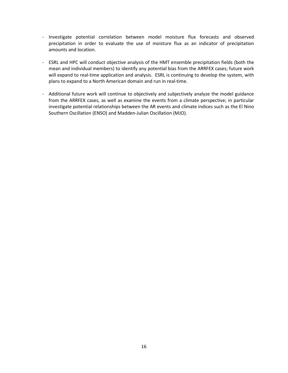- Investigate potential correlation between model moisture flux forecasts and observed precipitation in order to evaluate the use of moisture flux as an indicator of precipitation amounts and location.
- ESRL and HPC will conduct objective analysis of the HMT ensemble precipitation fields (both the mean and individual members) to identify any potential bias from the ARRFEX cases; future work will expand to real-time application and analysis. ESRL is continuing to develop the system, with plans to expand to a North American domain and run in real-time.
- Additional future work will continue to objectively and subjectively analyze the model guidance from the ARRFEX cases, as well as examine the events from a climate perspective; in particular investigate potential relationships between the AR events and climate indices such as the El Nino Southern Oscillation (ENSO) and Madden-Julian Oscillation (MJO).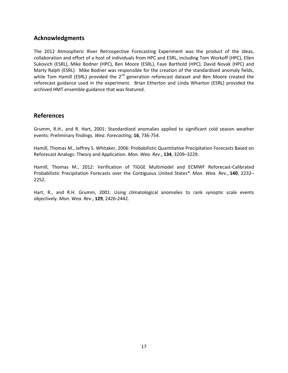## **Acknowledgments**

The 2012 Atmospheric River Retrospective Forecasting Experiment was the product of the ideas, collaboration and effort of a host of individuals from HPC and ESRL, including Tom Workoff (HPC), Ellen Sukovich (ESRL), Mike Bodner (HPC), Ben Moore (ESRL), Faye Barthold (HPC), David Novak (HPC) and Marty Ralph (ESRL). Mike Bodner was responsible for the creation of the standardized anomaly fields, while Tom Hamill (ESRL) provided the 2<sup>nd</sup> generation reforecast dataset and Ben Moore created the reforecast guidance used in the experiment. Brian Etherton and Linda Wharton (ESRL) provided the archived HMT ensemble guidance that was featured.

## **References**

Grumm, R.H., and R. Hart, 2001: Standardized anomalies applied to significant cold season weather events: Preliminary findings*. Wea. Forecasting*, **16**, 736-754.

Hamill, Thomas M., Jeffrey S. Whitaker, 2006: Probabilistic Quantitative Precipitation Forecasts Based on Reforecast Analogs: Theory and Application. *Mon. Wea. Rev.*, **134**, 3209–3229.

Hamill, Thomas M., 2012: Verification of TIGGE Multimodel and ECMWF Reforecast-Calibrated Probabilistic Precipitation Forecasts over the Contiguous United States\*. *Mon. Wea. Rev.*, **140**, 2232– 2252.

Hart, R., and R.H. Grumm, 2001: Using climatological anomalies to rank synoptic scale events objectively. *Mon. Wea. Rev*., **129**, 2426-2442.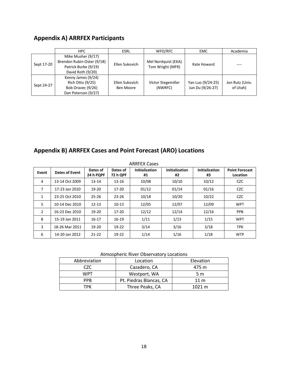## **Appendix A) ARRFEX Participants**

|            | HPC                                                                                           | <b>ESRL</b>                 | WFO/RFC                                 | <b>EMC</b>                            | Academia                    |
|------------|-----------------------------------------------------------------------------------------------|-----------------------------|-----------------------------------------|---------------------------------------|-----------------------------|
| Sept 17-20 | Mike Musher (9/17)<br>Brendon Rubin-Oster (9/18)<br>Patrick Burke (9/19)<br>David Roth (9/20) | Ellen Sukovich              | Mel Nordquist (EKA)<br>Tom Wright (MFR) | Kate Howard                           |                             |
| Sept 24-27 | Kenny James (9/24)<br>Rich Otto (9/25)<br>Bob Oravec (9/26)<br>Dan Peterson (9/27)            | Ellen Sukovich<br>Ben Moore | Victor Stegemiller<br>(NWRFC)           | Yan Luo (9/24-25)<br>Jun Du (9/26-27) | Jon Rutz (Univ.<br>of Utah) |

## **Appendix B) ARRFEX Cases and Point Forecast (ARO) Locations**

| <b>ARRFEX Cases</b> |                |                       |                             |                             |                             |                             |                                   |
|---------------------|----------------|-----------------------|-----------------------------|-----------------------------|-----------------------------|-----------------------------|-----------------------------------|
| Event               | Dates of Event | Dates of<br>24 h PQPF | Dates of<br><b>72 h QPF</b> | <b>Initialization</b><br>#1 | <b>Initialization</b><br>#2 | <b>Initialization</b><br>#3 | <b>Point Forecast</b><br>Location |
| 4                   | 13-14 Oct 2009 | $13 - 14$             | $13 - 16$                   | 10/08                       | 10/10                       | 10/12                       | <b>CZC</b>                        |
| $\overline{7}$      | 17-23 Jan 2010 | 19-20                 | $17 - 20$                   | 01/12                       | 01/14                       | 01/16                       | <b>CZC</b>                        |
| 1                   | 23-25 Oct 2010 | $25 - 26$             | $23 - 26$                   | 10/18                       | 10/20                       | 10/22                       | <b>CZC</b>                        |
| 5.                  | 10-14 Dec 2010 | $12 - 13$             | $10-13$                     | 12/05                       | 12/07                       | 12/09                       | <b>WPT</b>                        |
| $\overline{2}$      | 16-23 Dec 2010 | 19-20                 | $17 - 20$                   | 12/12                       | 12/14                       | 12/16                       | <b>PPB</b>                        |
| 8                   | 15-19 Jan 2011 | $16 - 17$             | $16-19$                     | 1/11                        | 1/13                        | 1/15                        | <b>WPT</b>                        |
| 3                   | 18-26 Mar 2011 | 19-20                 | $19-22$                     | 3/14                        | 3/16                        | 3/18                        | <b>TPK</b>                        |
| 6                   | 14-20 Jan 2012 | $21 - 22$             | $19-22$                     | 1/14                        | 1/16                        | 1/18                        | <b>WTP</b>                        |

## Atmospheric River Observatory Locations

| Abbreviation | Location                | Elevation        |
|--------------|-------------------------|------------------|
| CZC.         | Cazadero, CA            | 475 m            |
| WPT          | Westport, WA            | 5 m              |
| <b>PPB</b>   | Pt. Piedras Blancas, CA | $11 \text{ m}$   |
| TDK          | Three Peaks, CA         | $1021 \text{ m}$ |